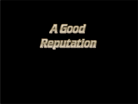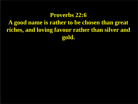#### **Proverbs 22:6**

**A good name is rather to be chosen than great riches, and loving favour rather than silver and gold.**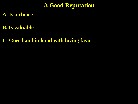### **A Good Reputation**

### **A. Is a choice**

**B. Is valuable**

**C. Goes hand in hand with loving favor**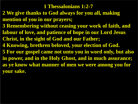#### **1 Thessalonians 1:2-7**

- **2 We give thanks to God always for you all, making mention of you in our prayers;**
- **3 Remembering without ceasing your work of faith, and labour of love, and patience of hope in our Lord Jesus Christ, in the sight of God and our Father;**
- **4 Knowing, brethren beloved, your election of God.**
- **5 For our gospel came not unto you in word only, but also in power, and in the Holy Ghost, and in much assurance; as ye know what manner of men we were among you for your sake.**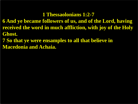#### **1 Thessaolonians 1:2-7**

**6 And ye became followers of us, and of the Lord, having received the word in much affliction, with joy of the Holy Ghost.**

**7 So that ye were ensamples to all that believe in Macedonia and Achaia.**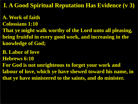**I. A Good Spiritual Reputation Has Evidence (v 3)** 

**A. Work of faith** 

**Colossians 1:10**

**That ye might walk worthy of the Lord unto all pleasing, being fruitful in every good work, and increasing in the knowledge of God;**

**B. Labor of love**

**Hebrews 6:10**

**For God is not unrighteous to forget your work and labour of love, which ye have shewed toward his name, in that ye have ministered to the saints, and do minister.**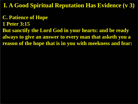**I. A Good Spiritual Reputation Has Evidence (v 3)** 

- **C. Patience of Hope**
- **1 Peter 3:15**
- **But sanctify the Lord God in your hearts: and be ready always to give an answer to every man that asketh you a reason of the hope that is in you with meekness and fear:**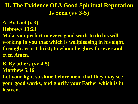# **II. The Evidence Of A Good Spiritual Reputation Is Seen (vv 3-5)**

- **A. By God (v 3)**
- **Hebrews 13:21**
- **Make you perfect in every good work to do his will, working in you that which is wellpleasing in his sight, through Jesus Christ; to whom be glory for ever and ever. Amen.**
- **B. By others (vv 4-5)**
- **Matthew 5:16**
- **Let your light so shine before men, that they may see your good works, and glorify your Father which is in heaven.**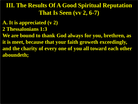# **III. The Results Of A Good Spiritual Reputation That Is Seen (vv 2, 6-7)**

- **A. It is appreciated (v 2)**
- **2 Thessalonians 1:3**
- **We are bound to thank God always for you, brethren, as it is meet, because that your faith groweth exceedingly, and the charity of every one of you all toward each other aboundeth;**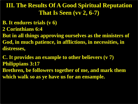# **III. The Results Of A Good Spiritual Reputation That Is Seen (vv 2, 6-7)**

- **B. It endures trials (v 6)**
- **2 Corinthians 6:4**
- **But in all things approving ourselves as the ministers of God, in much patience, in afflictions, in necessities, in distresses,**
- **C. It provides an example to other believers (v 7) Philippians 3:17**
- **Brethren, be followers together of me, and mark them which walk so as ye have us for an ensample.**